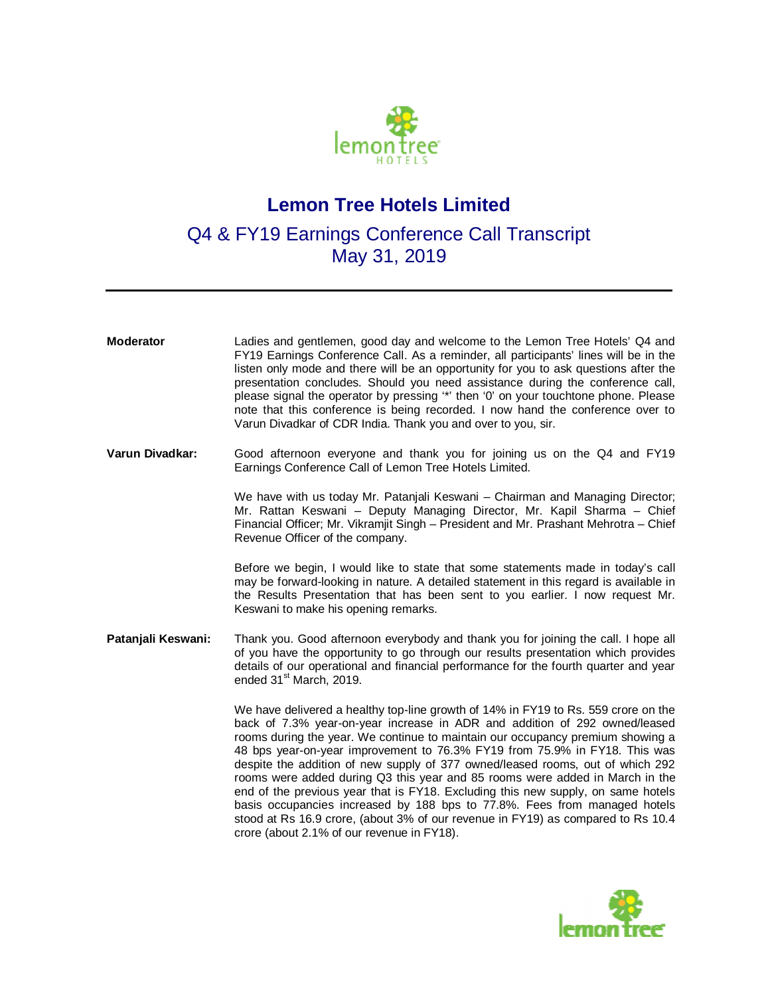

## **Lemon Tree Hotels Limited**

## Q4 & FY19 Earnings Conference Call Transcript May 31, 2019

| <b>Moderator</b>   | Ladies and gentlemen, good day and welcome to the Lemon Tree Hotels' Q4 and<br>FY19 Earnings Conference Call. As a reminder, all participants' lines will be in the<br>listen only mode and there will be an opportunity for you to ask questions after the<br>presentation concludes. Should you need assistance during the conference call,<br>please signal the operator by pressing "" then '0' on your touchtone phone. Please<br>note that this conference is being recorded. I now hand the conference over to<br>Varun Divadkar of CDR India. Thank you and over to you, sir.                                                                               |
|--------------------|---------------------------------------------------------------------------------------------------------------------------------------------------------------------------------------------------------------------------------------------------------------------------------------------------------------------------------------------------------------------------------------------------------------------------------------------------------------------------------------------------------------------------------------------------------------------------------------------------------------------------------------------------------------------|
| Varun Divadkar:    | Good afternoon everyone and thank you for joining us on the Q4 and FY19<br>Earnings Conference Call of Lemon Tree Hotels Limited.                                                                                                                                                                                                                                                                                                                                                                                                                                                                                                                                   |
|                    | We have with us today Mr. Patanjali Keswani - Chairman and Managing Director;<br>Mr. Rattan Keswani – Deputy Managing Director, Mr. Kapil Sharma – Chief<br>Financial Officer; Mr. Vikramjit Singh - President and Mr. Prashant Mehrotra - Chief<br>Revenue Officer of the company.                                                                                                                                                                                                                                                                                                                                                                                 |
|                    | Before we begin, I would like to state that some statements made in today's call<br>may be forward-looking in nature. A detailed statement in this regard is available in<br>the Results Presentation that has been sent to you earlier. I now request Mr.<br>Keswani to make his opening remarks.                                                                                                                                                                                                                                                                                                                                                                  |
| Patanjali Keswani: | Thank you. Good afternoon everybody and thank you for joining the call. I hope all<br>of you have the opportunity to go through our results presentation which provides<br>details of our operational and financial performance for the fourth quarter and year<br>ended 31 <sup>st</sup> March, 2019.                                                                                                                                                                                                                                                                                                                                                              |
|                    | We have delivered a healthy top-line growth of 14% in FY19 to Rs. 559 crore on the<br>back of 7.3% year-on-year increase in ADR and addition of 292 owned/leased<br>rooms during the year. We continue to maintain our occupancy premium showing a<br>48 bps year-on-year improvement to 76.3% FY19 from 75.9% in FY18. This was<br>despite the addition of new supply of 377 owned/leased rooms, out of which 292<br>rooms were added during Q3 this year and 85 rooms were added in March in the<br>end of the previous year that is FY18. Excluding this new supply, on same hotels<br>basis occupancies increased by 188 bps to 77.8%. Fees from managed hotels |

crore (about 2.1% of our revenue in FY18).

stood at Rs 16.9 crore, (about 3% of our revenue in FY19) as compared to Rs 10.4

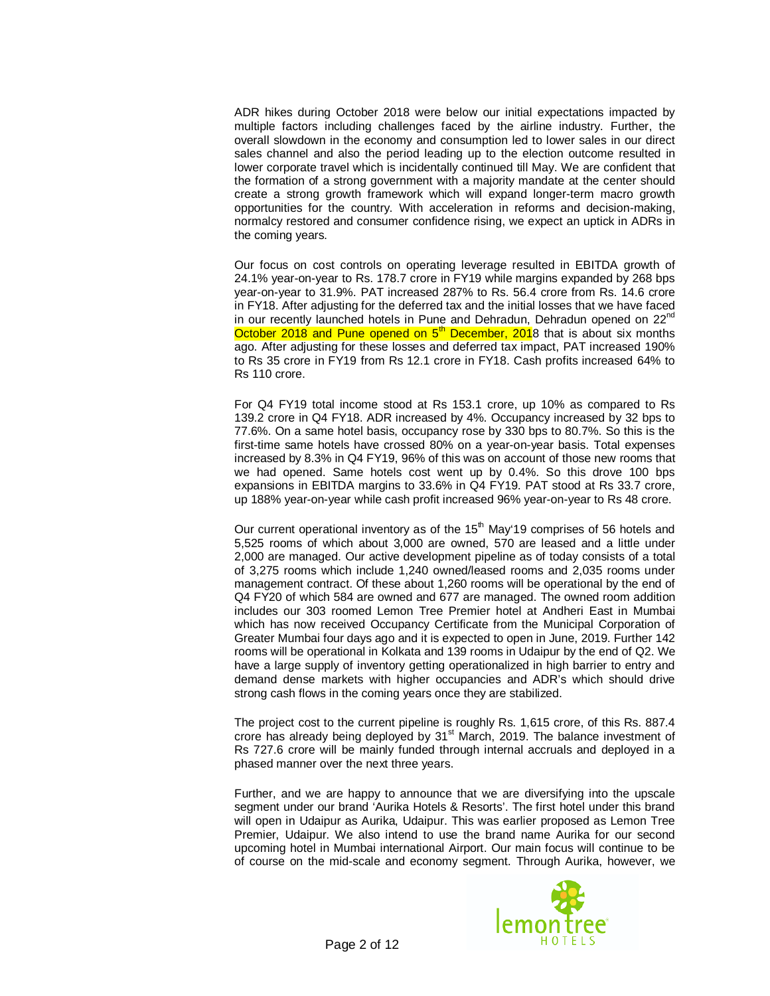ADR hikes during October 2018 were below our initial expectations impacted by multiple factors including challenges faced by the airline industry. Further, the overall slowdown in the economy and consumption led to lower sales in our direct sales channel and also the period leading up to the election outcome resulted in lower corporate travel which is incidentally continued till May. We are confident that the formation of a strong government with a majority mandate at the center should create a strong growth framework which will expand longer-term macro growth opportunities for the country. With acceleration in reforms and decision-making, normalcy restored and consumer confidence rising, we expect an uptick in ADRs in the coming years.

Our focus on cost controls on operating leverage resulted in EBITDA growth of 24.1% year-on-year to Rs. 178.7 crore in FY19 while margins expanded by 268 bps year-on-year to 31.9%. PAT increased 287% to Rs. 56.4 crore from Rs. 14.6 crore in FY18. After adjusting for the deferred tax and the initial losses that we have faced in our recently launched hotels in Pune and Dehradun, Dehradun opened on 22<sup>nd</sup> October 2018 and Pune opened on 5<sup>th</sup> December, 2018 that is about six months ago. After adjusting for these losses and deferred tax impact, PAT increased 190% to Rs 35 crore in FY19 from Rs 12.1 crore in FY18. Cash profits increased 64% to Rs 110 crore.

For Q4 FY19 total income stood at Rs 153.1 crore, up 10% as compared to Rs 139.2 crore in Q4 FY18. ADR increased by 4%. Occupancy increased by 32 bps to 77.6%. On a same hotel basis, occupancy rose by 330 bps to 80.7%. So this is the first-time same hotels have crossed 80% on a year-on-year basis. Total expenses increased by 8.3% in Q4 FY19, 96% of this was on account of those new rooms that we had opened. Same hotels cost went up by 0.4%. So this drove 100 bps expansions in EBITDA margins to 33.6% in Q4 FY19. PAT stood at Rs 33.7 crore, up 188% year-on-year while cash profit increased 96% year-on-year to Rs 48 crore.

Our current operational inventory as of the  $15<sup>th</sup>$  May'19 comprises of 56 hotels and 5,525 rooms of which about 3,000 are owned, 570 are leased and a little under 2,000 are managed. Our active development pipeline as of today consists of a total of 3,275 rooms which include 1,240 owned/leased rooms and 2,035 rooms under management contract. Of these about 1,260 rooms will be operational by the end of Q4 FY20 of which 584 are owned and 677 are managed. The owned room addition includes our 303 roomed Lemon Tree Premier hotel at Andheri East in Mumbai which has now received Occupancy Certificate from the Municipal Corporation of Greater Mumbai four days ago and it is expected to open in June, 2019. Further 142 rooms will be operational in Kolkata and 139 rooms in Udaipur by the end of Q2. We have a large supply of inventory getting operationalized in high barrier to entry and demand dense markets with higher occupancies and ADR's which should drive strong cash flows in the coming years once they are stabilized.

The project cost to the current pipeline is roughly Rs. 1,615 crore, of this Rs. 887.4 crore has already being deployed by 31<sup>st</sup> March, 2019. The balance investment of Rs 727.6 crore will be mainly funded through internal accruals and deployed in a phased manner over the next three years.

Further, and we are happy to announce that we are diversifying into the upscale segment under our brand 'Aurika Hotels & Resorts'. The first hotel under this brand will open in Udaipur as Aurika, Udaipur. This was earlier proposed as Lemon Tree Premier, Udaipur. We also intend to use the brand name Aurika for our second upcoming hotel in Mumbai international Airport. Our main focus will continue to be of course on the mid-scale and economy segment. Through Aurika, however, we

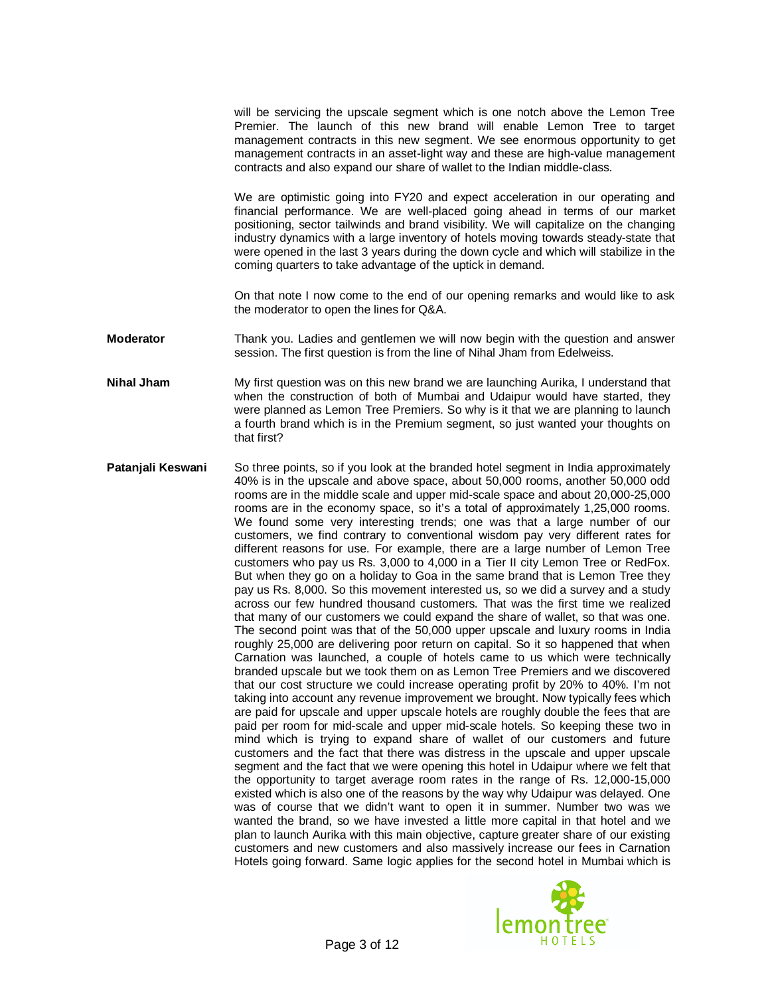will be servicing the upscale segment which is one notch above the Lemon Tree Premier. The launch of this new brand will enable Lemon Tree to target management contracts in this new segment. We see enormous opportunity to get management contracts in an asset-light way and these are high-value management contracts and also expand our share of wallet to the Indian middle-class.

We are optimistic going into FY20 and expect acceleration in our operating and financial performance. We are well-placed going ahead in terms of our market positioning, sector tailwinds and brand visibility. We will capitalize on the changing industry dynamics with a large inventory of hotels moving towards steady-state that were opened in the last 3 years during the down cycle and which will stabilize in the coming quarters to take advantage of the uptick in demand.

On that note I now come to the end of our opening remarks and would like to ask the moderator to open the lines for Q&A.

- **Moderator** Thank you. Ladies and gentlemen we will now begin with the question and answer session. The first question is from the line of Nihal Jham from Edelweiss.
- **Nihal Jham** My first question was on this new brand we are launching Aurika, I understand that when the construction of both of Mumbai and Udaipur would have started, they were planned as Lemon Tree Premiers. So why is it that we are planning to launch a fourth brand which is in the Premium segment, so just wanted your thoughts on that first?
- **Patanjali Keswani** So three points, so if you look at the branded hotel segment in India approximately 40% is in the upscale and above space, about 50,000 rooms, another 50,000 odd rooms are in the middle scale and upper mid-scale space and about 20,000-25,000 rooms are in the economy space, so it's a total of approximately 1,25,000 rooms. We found some very interesting trends; one was that a large number of our customers, we find contrary to conventional wisdom pay very different rates for different reasons for use. For example, there are a large number of Lemon Tree customers who pay us Rs. 3,000 to 4,000 in a Tier II city Lemon Tree or RedFox. But when they go on a holiday to Goa in the same brand that is Lemon Tree they pay us Rs. 8,000. So this movement interested us, so we did a survey and a study across our few hundred thousand customers. That was the first time we realized that many of our customers we could expand the share of wallet, so that was one. The second point was that of the 50,000 upper upscale and luxury rooms in India roughly 25,000 are delivering poor return on capital. So it so happened that when Carnation was launched, a couple of hotels came to us which were technically branded upscale but we took them on as Lemon Tree Premiers and we discovered that our cost structure we could increase operating profit by 20% to 40%. I'm not taking into account any revenue improvement we brought. Now typically fees which are paid for upscale and upper upscale hotels are roughly double the fees that are paid per room for mid-scale and upper mid-scale hotels. So keeping these two in mind which is trying to expand share of wallet of our customers and future customers and the fact that there was distress in the upscale and upper upscale segment and the fact that we were opening this hotel in Udaipur where we felt that the opportunity to target average room rates in the range of Rs. 12,000-15,000 existed which is also one of the reasons by the way why Udaipur was delayed. One was of course that we didn't want to open it in summer. Number two was we wanted the brand, so we have invested a little more capital in that hotel and we plan to launch Aurika with this main objective, capture greater share of our existing customers and new customers and also massively increase our fees in Carnation Hotels going forward. Same logic applies for the second hotel in Mumbai which is

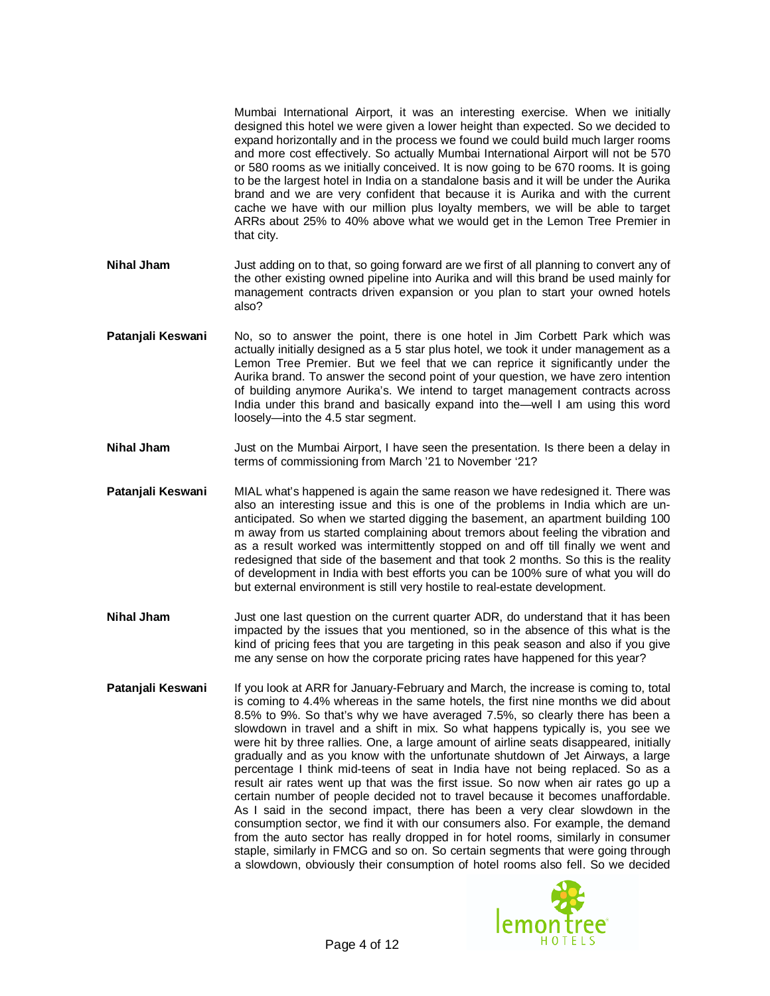Mumbai International Airport, it was an interesting exercise. When we initially designed this hotel we were given a lower height than expected. So we decided to expand horizontally and in the process we found we could build much larger rooms and more cost effectively. So actually Mumbai International Airport will not be 570 or 580 rooms as we initially conceived. It is now going to be 670 rooms. It is going to be the largest hotel in India on a standalone basis and it will be under the Aurika brand and we are very confident that because it is Aurika and with the current cache we have with our million plus loyalty members, we will be able to target ARRs about 25% to 40% above what we would get in the Lemon Tree Premier in that city.

- **Nihal Jham** Just adding on to that, so going forward are we first of all planning to convert any of the other existing owned pipeline into Aurika and will this brand be used mainly for management contracts driven expansion or you plan to start your owned hotels also?
- **Patanjali Keswani** No, so to answer the point, there is one hotel in Jim Corbett Park which was actually initially designed as a 5 star plus hotel, we took it under management as a Lemon Tree Premier. But we feel that we can reprice it significantly under the Aurika brand. To answer the second point of your question, we have zero intention of building anymore Aurika's. We intend to target management contracts across India under this brand and basically expand into the—well I am using this word loosely—into the 4.5 star segment.
- **Nihal Jham** Just on the Mumbai Airport, I have seen the presentation. Is there been a delay in terms of commissioning from March '21 to November '21?
- **Patanjali Keswani** MIAL what's happened is again the same reason we have redesigned it. There was also an interesting issue and this is one of the problems in India which are unanticipated. So when we started digging the basement, an apartment building 100 m away from us started complaining about tremors about feeling the vibration and as a result worked was intermittently stopped on and off till finally we went and redesigned that side of the basement and that took 2 months. So this is the reality of development in India with best efforts you can be 100% sure of what you will do but external environment is still very hostile to real-estate development.
- **Nihal Jham** Just one last question on the current quarter ADR, do understand that it has been impacted by the issues that you mentioned, so in the absence of this what is the kind of pricing fees that you are targeting in this peak season and also if you give me any sense on how the corporate pricing rates have happened for this year?
- **Patanjali Keswani** If you look at ARR for January-February and March, the increase is coming to, total is coming to 4.4% whereas in the same hotels, the first nine months we did about 8.5% to 9%. So that's why we have averaged 7.5%, so clearly there has been a slowdown in travel and a shift in mix. So what happens typically is, you see we were hit by three rallies. One, a large amount of airline seats disappeared, initially gradually and as you know with the unfortunate shutdown of Jet Airways, a large percentage I think mid-teens of seat in India have not being replaced. So as a result air rates went up that was the first issue. So now when air rates go up a certain number of people decided not to travel because it becomes unaffordable. As I said in the second impact, there has been a very clear slowdown in the consumption sector, we find it with our consumers also. For example, the demand from the auto sector has really dropped in for hotel rooms, similarly in consumer staple, similarly in FMCG and so on. So certain segments that were going through a slowdown, obviously their consumption of hotel rooms also fell. So we decided

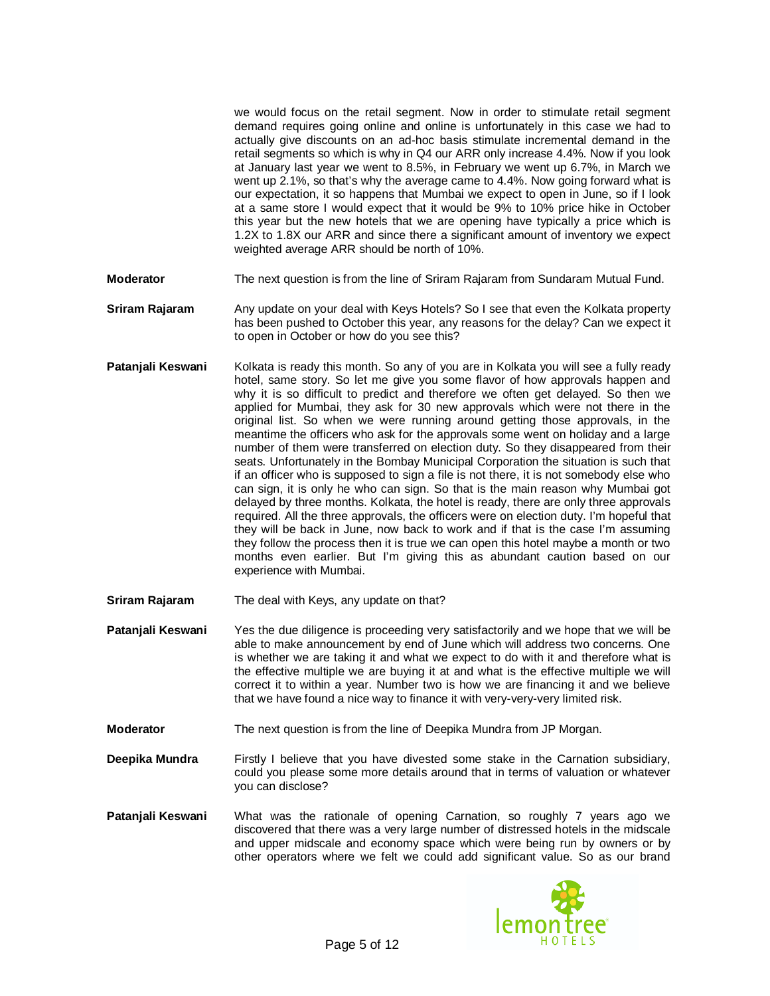we would focus on the retail segment. Now in order to stimulate retail segment demand requires going online and online is unfortunately in this case we had to actually give discounts on an ad-hoc basis stimulate incremental demand in the retail segments so which is why in Q4 our ARR only increase 4.4%. Now if you look at January last year we went to 8.5%, in February we went up 6.7%, in March we went up 2.1%, so that's why the average came to 4.4%. Now going forward what is our expectation, it so happens that Mumbai we expect to open in June, so if I look at a same store I would expect that it would be 9% to 10% price hike in October this year but the new hotels that we are opening have typically a price which is 1.2X to 1.8X our ARR and since there a significant amount of inventory we expect weighted average ARR should be north of 10%.

- **Moderator** The next question is from the line of Sriram Rajaram from Sundaram Mutual Fund.
- **Sriram Rajaram** Any update on your deal with Keys Hotels? So I see that even the Kolkata property has been pushed to October this year, any reasons for the delay? Can we expect it to open in October or how do you see this?
- Patanjali Keswani Kolkata is ready this month. So any of you are in Kolkata you will see a fully ready hotel, same story. So let me give you some flavor of how approvals happen and why it is so difficult to predict and therefore we often get delayed. So then we applied for Mumbai, they ask for 30 new approvals which were not there in the original list. So when we were running around getting those approvals, in the meantime the officers who ask for the approvals some went on holiday and a large number of them were transferred on election duty. So they disappeared from their seats. Unfortunately in the Bombay Municipal Corporation the situation is such that if an officer who is supposed to sign a file is not there, it is not somebody else who can sign, it is only he who can sign. So that is the main reason why Mumbai got delayed by three months. Kolkata, the hotel is ready, there are only three approvals required. All the three approvals, the officers were on election duty. I'm hopeful that they will be back in June, now back to work and if that is the case I'm assuming they follow the process then it is true we can open this hotel maybe a month or two months even earlier. But I'm giving this as abundant caution based on our experience with Mumbai.
- **Sriram Rajaram** The deal with Keys, any update on that?

**Patanjali Keswani** Yes the due diligence is proceeding very satisfactorily and we hope that we will be able to make announcement by end of June which will address two concerns. One is whether we are taking it and what we expect to do with it and therefore what is the effective multiple we are buying it at and what is the effective multiple we will correct it to within a year. Number two is how we are financing it and we believe that we have found a nice way to finance it with very-very-very limited risk.

- **Moderator** The next question is from the line of Deepika Mundra from JP Morgan.
- **Deepika Mundra** Firstly I believe that you have divested some stake in the Carnation subsidiary, could you please some more details around that in terms of valuation or whatever you can disclose?
- **Patanjali Keswani** What was the rationale of opening Carnation, so roughly 7 years ago we discovered that there was a very large number of distressed hotels in the midscale and upper midscale and economy space which were being run by owners or by other operators where we felt we could add significant value. So as our brand

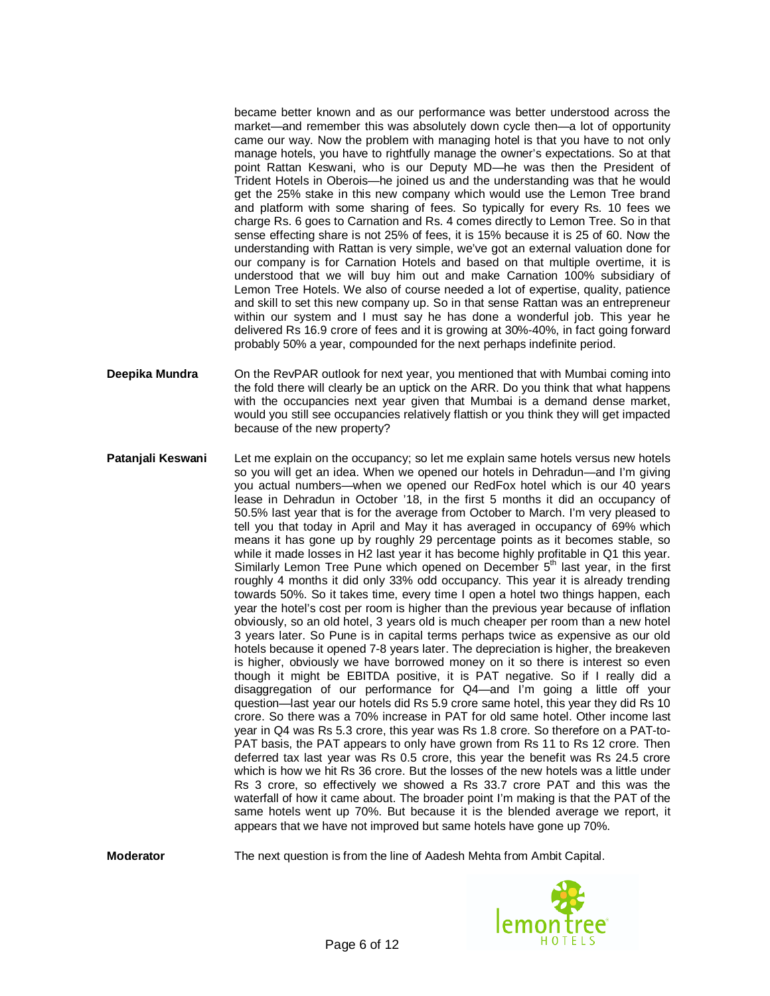became better known and as our performance was better understood across the market—and remember this was absolutely down cycle then—a lot of opportunity came our way. Now the problem with managing hotel is that you have to not only manage hotels, you have to rightfully manage the owner's expectations. So at that point Rattan Keswani, who is our Deputy MD—he was then the President of Trident Hotels in Oberois—he joined us and the understanding was that he would get the 25% stake in this new company which would use the Lemon Tree brand and platform with some sharing of fees. So typically for every Rs. 10 fees we charge Rs. 6 goes to Carnation and Rs. 4 comes directly to Lemon Tree. So in that sense effecting share is not 25% of fees, it is 15% because it is 25 of 60. Now the understanding with Rattan is very simple, we've got an external valuation done for our company is for Carnation Hotels and based on that multiple overtime, it is understood that we will buy him out and make Carnation 100% subsidiary of Lemon Tree Hotels. We also of course needed a lot of expertise, quality, patience and skill to set this new company up. So in that sense Rattan was an entrepreneur within our system and I must say he has done a wonderful job. This year he delivered Rs 16.9 crore of fees and it is growing at 30%-40%, in fact going forward probably 50% a year, compounded for the next perhaps indefinite period.

- **Deepika Mundra** On the RevPAR outlook for next year, you mentioned that with Mumbai coming into the fold there will clearly be an uptick on the ARR. Do you think that what happens with the occupancies next year given that Mumbai is a demand dense market, would you still see occupancies relatively flattish or you think they will get impacted because of the new property?
- **Patanjali Keswani** Let me explain on the occupancy; so let me explain same hotels versus new hotels so you will get an idea. When we opened our hotels in Dehradun—and I'm giving you actual numbers—when we opened our RedFox hotel which is our 40 years lease in Dehradun in October '18, in the first 5 months it did an occupancy of 50.5% last year that is for the average from October to March. I'm very pleased to tell you that today in April and May it has averaged in occupancy of 69% which means it has gone up by roughly 29 percentage points as it becomes stable, so while it made losses in H2 last year it has become highly profitable in Q1 this year. Similarly Lemon Tree Pune which opened on December 5<sup>th</sup> last year, in the first roughly 4 months it did only 33% odd occupancy. This year it is already trending towards 50%. So it takes time, every time I open a hotel two things happen, each year the hotel's cost per room is higher than the previous year because of inflation obviously, so an old hotel, 3 years old is much cheaper per room than a new hotel 3 years later. So Pune is in capital terms perhaps twice as expensive as our old hotels because it opened 7-8 years later. The depreciation is higher, the breakeven is higher, obviously we have borrowed money on it so there is interest so even though it might be EBITDA positive, it is PAT negative. So if I really did a disaggregation of our performance for Q4—and I'm going a little off your question—last year our hotels did Rs 5.9 crore same hotel, this year they did Rs 10 crore. So there was a 70% increase in PAT for old same hotel. Other income last year in Q4 was Rs 5.3 crore, this year was Rs 1.8 crore. So therefore on a PAT-to-PAT basis, the PAT appears to only have grown from Rs 11 to Rs 12 crore. Then deferred tax last year was Rs 0.5 crore, this year the benefit was Rs 24.5 crore which is how we hit Rs 36 crore. But the losses of the new hotels was a little under Rs 3 crore, so effectively we showed a Rs 33.7 crore PAT and this was the waterfall of how it came about. The broader point I'm making is that the PAT of the same hotels went up 70%. But because it is the blended average we report, it appears that we have not improved but same hotels have gone up 70%.

**Moderator** The next question is from the line of Aadesh Mehta from Ambit Capital.

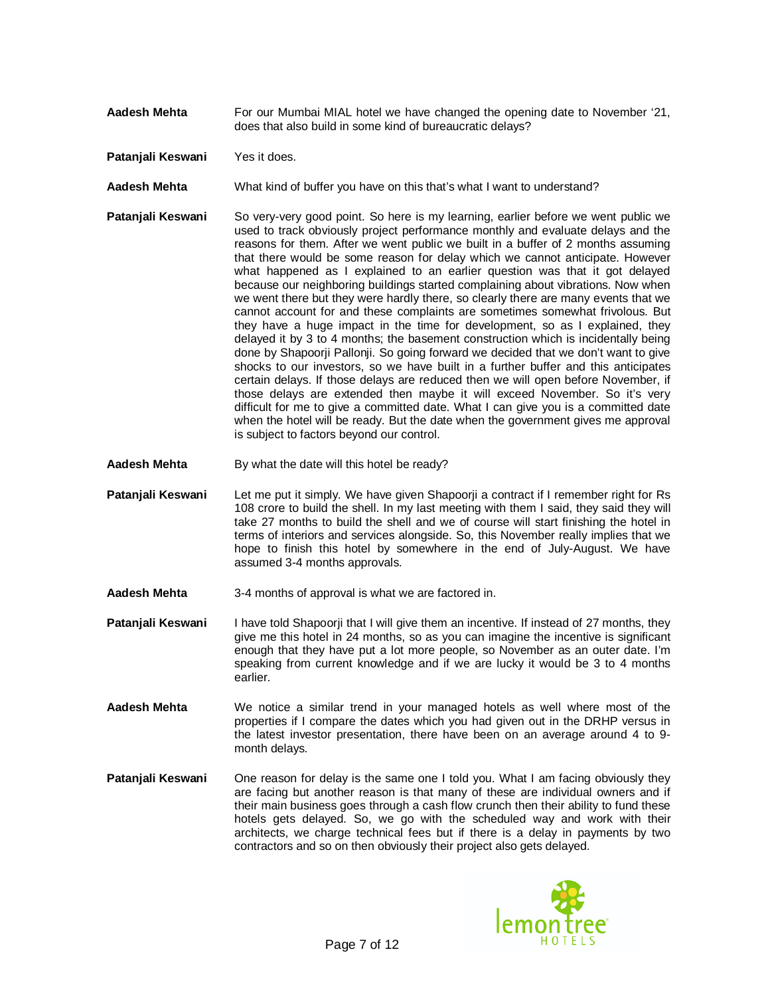- Aadesh Mehta For our Mumbai MIAL hotel we have changed the opening date to November '21, does that also build in some kind of bureaucratic delays?
- **Patanjali Keswani** Yes it does.
- **Aadesh Mehta** What kind of buffer you have on this that's what I want to understand?
- **Patanjali Keswani** So very-very good point. So here is my learning, earlier before we went public we used to track obviously project performance monthly and evaluate delays and the reasons for them. After we went public we built in a buffer of 2 months assuming that there would be some reason for delay which we cannot anticipate. However what happened as I explained to an earlier question was that it got delayed because our neighboring buildings started complaining about vibrations. Now when we went there but they were hardly there, so clearly there are many events that we cannot account for and these complaints are sometimes somewhat frivolous. But they have a huge impact in the time for development, so as I explained, they delayed it by 3 to 4 months; the basement construction which is incidentally being done by Shapoorji Pallonji. So going forward we decided that we don't want to give shocks to our investors, so we have built in a further buffer and this anticipates certain delays. If those delays are reduced then we will open before November, if those delays are extended then maybe it will exceed November. So it's very difficult for me to give a committed date. What I can give you is a committed date when the hotel will be ready. But the date when the government gives me approval is subject to factors beyond our control.
- **Aadesh Mehta** By what the date will this hotel be ready?
- **Patanjali Keswani** Let me put it simply. We have given Shapoorji a contract if I remember right for Rs 108 crore to build the shell. In my last meeting with them I said, they said they will take 27 months to build the shell and we of course will start finishing the hotel in terms of interiors and services alongside. So, this November really implies that we hope to finish this hotel by somewhere in the end of July-August. We have assumed 3-4 months approvals.
- **Aadesh Mehta** 3-4 months of approval is what we are factored in.
- **Patanjali Keswani** I have told Shapoorji that I will give them an incentive. If instead of 27 months, they give me this hotel in 24 months, so as you can imagine the incentive is significant enough that they have put a lot more people, so November as an outer date. I'm speaking from current knowledge and if we are lucky it would be 3 to 4 months earlier.
- **Aadesh Mehta** We notice a similar trend in your managed hotels as well where most of the properties if I compare the dates which you had given out in the DRHP versus in the latest investor presentation, there have been on an average around 4 to 9 month delays.
- **Patanjali Keswani** One reason for delay is the same one I told you. What I am facing obviously they are facing but another reason is that many of these are individual owners and if their main business goes through a cash flow crunch then their ability to fund these hotels gets delayed. So, we go with the scheduled way and work with their architects, we charge technical fees but if there is a delay in payments by two contractors and so on then obviously their project also gets delayed.

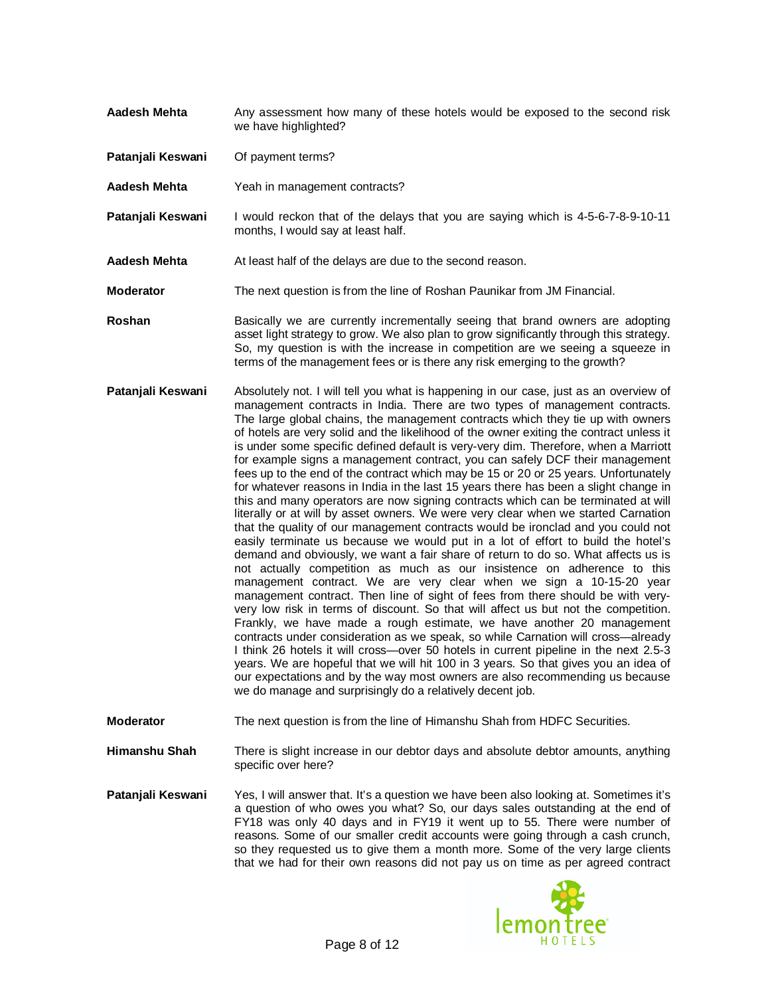- **Aadesh Mehta** Any assessment how many of these hotels would be exposed to the second risk we have highlighted?
- **Patanjali Keswani** Of payment terms?
- **Aadesh Mehta** Yeah in management contracts?
- **Patanjali Keswani** I would reckon that of the delays that you are saying which is 4-5-6-7-8-9-10-11 months, I would say at least half.
- **Aadesh Mehta** At least half of the delays are due to the second reason.
- **Moderator** The next question is from the line of Roshan Paunikar from JM Financial.
- **Roshan** Basically we are currently incrementally seeing that brand owners are adopting asset light strategy to grow. We also plan to grow significantly through this strategy. So, my question is with the increase in competition are we seeing a squeeze in terms of the management fees or is there any risk emerging to the growth?
- **Patanjali Keswani** Absolutely not. I will tell you what is happening in our case, just as an overview of management contracts in India. There are two types of management contracts. The large global chains, the management contracts which they tie up with owners of hotels are very solid and the likelihood of the owner exiting the contract unless it is under some specific defined default is very-very dim. Therefore, when a Marriott for example signs a management contract, you can safely DCF their management fees up to the end of the contract which may be 15 or 20 or 25 years. Unfortunately for whatever reasons in India in the last 15 years there has been a slight change in this and many operators are now signing contracts which can be terminated at will literally or at will by asset owners. We were very clear when we started Carnation that the quality of our management contracts would be ironclad and you could not easily terminate us because we would put in a lot of effort to build the hotel's demand and obviously, we want a fair share of return to do so. What affects us is not actually competition as much as our insistence on adherence to this management contract. We are very clear when we sign a 10-15-20 year management contract. Then line of sight of fees from there should be with veryvery low risk in terms of discount. So that will affect us but not the competition. Frankly, we have made a rough estimate, we have another 20 management contracts under consideration as we speak, so while Carnation will cross—already I think 26 hotels it will cross—over 50 hotels in current pipeline in the next 2.5-3 years. We are hopeful that we will hit 100 in 3 years. So that gives you an idea of our expectations and by the way most owners are also recommending us because we do manage and surprisingly do a relatively decent job.
- **Moderator** The next question is from the line of Himanshu Shah from HDFC Securities.
- **Himanshu Shah** There is slight increase in our debtor days and absolute debtor amounts, anything specific over here?
- **Patanjali Keswani** Yes, I will answer that. It's a question we have been also looking at. Sometimes it's a question of who owes you what? So, our days sales outstanding at the end of FY18 was only 40 days and in FY19 it went up to 55. There were number of reasons. Some of our smaller credit accounts were going through a cash crunch, so they requested us to give them a month more. Some of the very large clients that we had for their own reasons did not pay us on time as per agreed contract

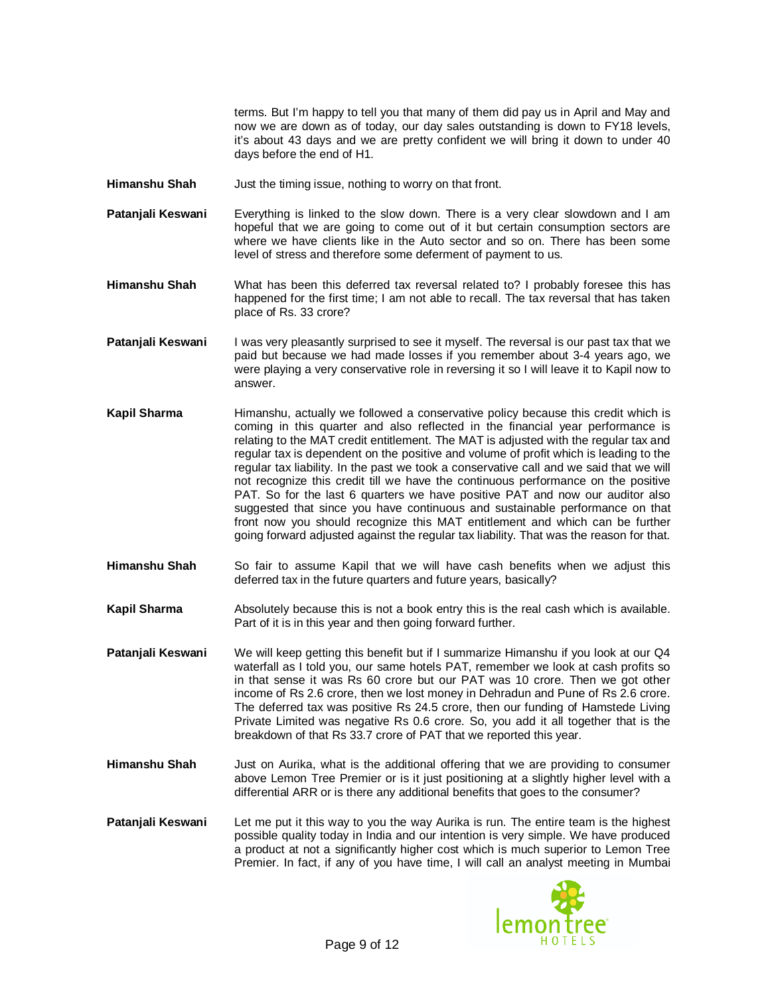terms. But I'm happy to tell you that many of them did pay us in April and May and now we are down as of today, our day sales outstanding is down to FY18 levels, it's about 43 days and we are pretty confident we will bring it down to under 40 days before the end of H1.

- **Himanshu Shah** Just the timing issue, nothing to worry on that front.
- **Patanjali Keswani** Everything is linked to the slow down. There is a very clear slowdown and I am hopeful that we are going to come out of it but certain consumption sectors are where we have clients like in the Auto sector and so on. There has been some level of stress and therefore some deferment of payment to us.
- **Himanshu Shah** What has been this deferred tax reversal related to? I probably foresee this has happened for the first time; I am not able to recall. The tax reversal that has taken place of Rs. 33 crore?
- **Patanjali Keswani** I was very pleasantly surprised to see it myself. The reversal is our past tax that we paid but because we had made losses if you remember about 3-4 years ago, we were playing a very conservative role in reversing it so I will leave it to Kapil now to answer.
- **Kapil Sharma** Himanshu, actually we followed a conservative policy because this credit which is coming in this quarter and also reflected in the financial year performance is relating to the MAT credit entitlement. The MAT is adjusted with the regular tax and regular tax is dependent on the positive and volume of profit which is leading to the regular tax liability. In the past we took a conservative call and we said that we will not recognize this credit till we have the continuous performance on the positive PAT. So for the last 6 quarters we have positive PAT and now our auditor also suggested that since you have continuous and sustainable performance on that front now you should recognize this MAT entitlement and which can be further going forward adjusted against the regular tax liability. That was the reason for that.
- **Himanshu Shah** So fair to assume Kapil that we will have cash benefits when we adjust this deferred tax in the future quarters and future years, basically?
- **Kapil Sharma** Absolutely because this is not a book entry this is the real cash which is available. Part of it is in this year and then going forward further.

**Patanjali Keswani** We will keep getting this benefit but if I summarize Himanshu if you look at our Q4 waterfall as I told you, our same hotels PAT, remember we look at cash profits so in that sense it was Rs 60 crore but our PAT was 10 crore. Then we got other income of Rs 2.6 crore, then we lost money in Dehradun and Pune of Rs 2.6 crore. The deferred tax was positive Rs 24.5 crore, then our funding of Hamstede Living Private Limited was negative Rs 0.6 crore. So, you add it all together that is the breakdown of that Rs 33.7 crore of PAT that we reported this year.

- **Himanshu Shah** Just on Aurika, what is the additional offering that we are providing to consumer above Lemon Tree Premier or is it just positioning at a slightly higher level with a differential ARR or is there any additional benefits that goes to the consumer?
- **Patanjali Keswani** Let me put it this way to you the way Aurika is run. The entire team is the highest possible quality today in India and our intention is very simple. We have produced a product at not a significantly higher cost which is much superior to Lemon Tree Premier. In fact, if any of you have time, I will call an analyst meeting in Mumbai

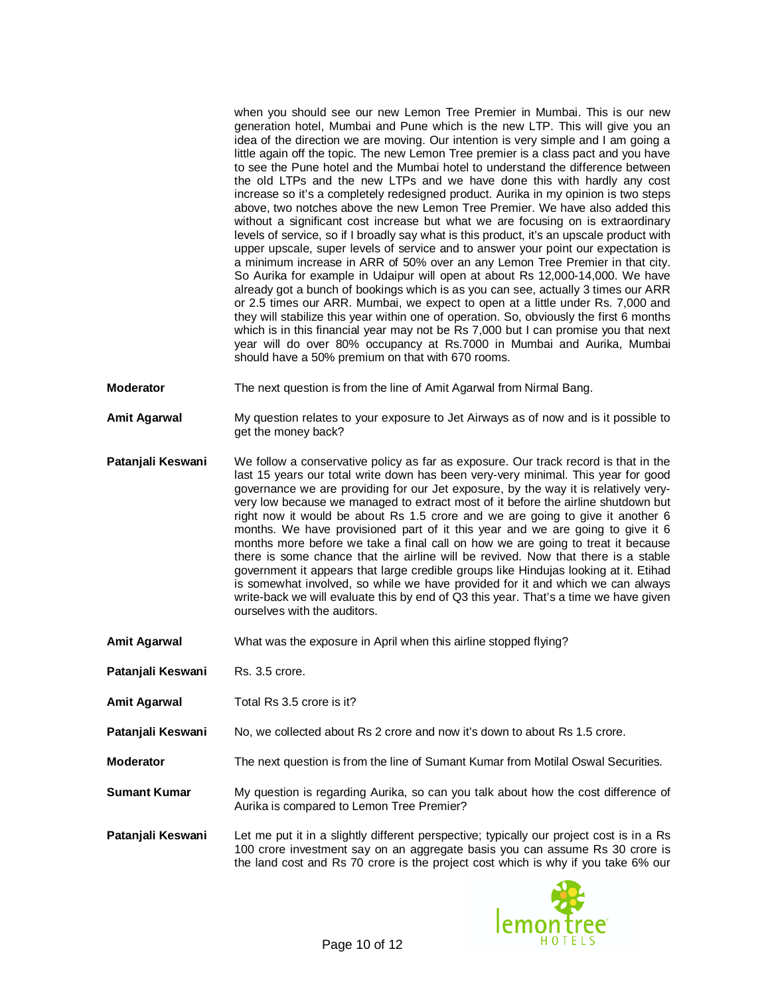when you should see our new Lemon Tree Premier in Mumbai. This is our new generation hotel, Mumbai and Pune which is the new LTP. This will give you an idea of the direction we are moving. Our intention is very simple and I am going a little again off the topic. The new Lemon Tree premier is a class pact and you have to see the Pune hotel and the Mumbai hotel to understand the difference between the old LTPs and the new LTPs and we have done this with hardly any cost increase so it's a completely redesigned product. Aurika in my opinion is two steps above, two notches above the new Lemon Tree Premier. We have also added this without a significant cost increase but what we are focusing on is extraordinary levels of service, so if I broadly say what is this product, it's an upscale product with upper upscale, super levels of service and to answer your point our expectation is a minimum increase in ARR of 50% over an any Lemon Tree Premier in that city. So Aurika for example in Udaipur will open at about Rs 12,000-14,000. We have already got a bunch of bookings which is as you can see, actually 3 times our ARR or 2.5 times our ARR. Mumbai, we expect to open at a little under Rs. 7,000 and they will stabilize this year within one of operation. So, obviously the first 6 months which is in this financial year may not be Rs 7,000 but I can promise you that next year will do over 80% occupancy at Rs.7000 in Mumbai and Aurika, Mumbai should have a 50% premium on that with 670 rooms.

- **Moderator** The next question is from the line of Amit Agarwal from Nirmal Bang.
- **Amit Agarwal** My question relates to your exposure to Jet Airways as of now and is it possible to get the money back?
- **Patanjali Keswani** We follow a conservative policy as far as exposure. Our track record is that in the last 15 years our total write down has been very-very minimal. This year for good governance we are providing for our Jet exposure, by the way it is relatively veryvery low because we managed to extract most of it before the airline shutdown but right now it would be about Rs 1.5 crore and we are going to give it another 6 months. We have provisioned part of it this year and we are going to give it 6 months more before we take a final call on how we are going to treat it because there is some chance that the airline will be revived. Now that there is a stable government it appears that large credible groups like Hindujas looking at it. Etihad is somewhat involved, so while we have provided for it and which we can always write-back we will evaluate this by end of Q3 this year. That's a time we have given ourselves with the auditors.
- **Amit Agarwal** What was the exposure in April when this airline stopped flying?
- **Patanjali Keswani** Rs. 3.5 crore.
- **Amit Agarwal** Total Rs 3.5 crore is it?
- **Patanjali Keswani** No, we collected about Rs 2 crore and now it's down to about Rs 1.5 crore.
- **Moderator** The next question is from the line of Sumant Kumar from Motilal Oswal Securities.
- **Sumant Kumar** My question is regarding Aurika, so can you talk about how the cost difference of Aurika is compared to Lemon Tree Premier?
- **Patanjali Keswani** Let me put it in a slightly different perspective; typically our project cost is in a Rs 100 crore investment say on an aggregate basis you can assume Rs 30 crore is the land cost and Rs 70 crore is the project cost which is why if you take 6% our

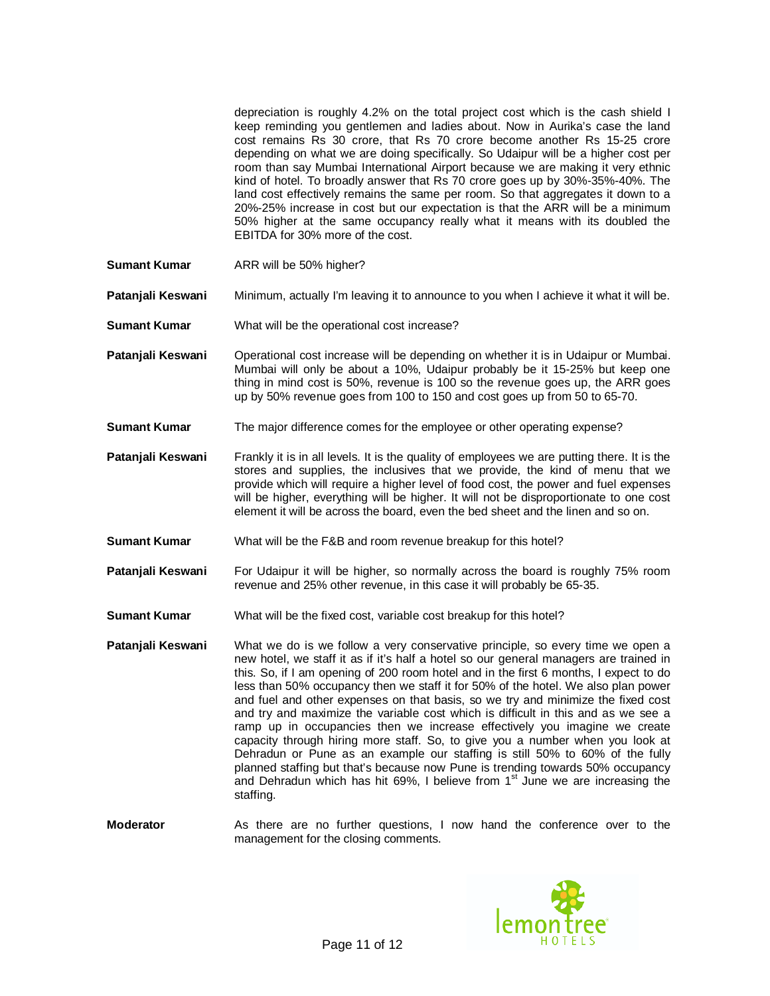depreciation is roughly 4.2% on the total project cost which is the cash shield I keep reminding you gentlemen and ladies about. Now in Aurika's case the land cost remains Rs 30 crore, that Rs 70 crore become another Rs 15-25 crore depending on what we are doing specifically. So Udaipur will be a higher cost per room than say Mumbai International Airport because we are making it very ethnic kind of hotel. To broadly answer that Rs 70 crore goes up by 30%-35%-40%. The land cost effectively remains the same per room. So that aggregates it down to a 20%-25% increase in cost but our expectation is that the ARR will be a minimum 50% higher at the same occupancy really what it means with its doubled the EBITDA for 30% more of the cost.

**Sumant Kumar** ARR will be 50% higher?

**Patanjali Keswani** Minimum, actually I'm leaving it to announce to you when I achieve it what it will be.

- **Sumant Kumar** What will be the operational cost increase?
- **Patanjali Keswani** Operational cost increase will be depending on whether it is in Udaipur or Mumbai. Mumbai will only be about a 10%, Udaipur probably be it 15-25% but keep one thing in mind cost is 50%, revenue is 100 so the revenue goes up, the ARR goes up by 50% revenue goes from 100 to 150 and cost goes up from 50 to 65-70.
- **Sumant Kumar** The major difference comes for the employee or other operating expense?
- **Patanjali Keswani** Frankly it is in all levels. It is the quality of employees we are putting there. It is the stores and supplies, the inclusives that we provide, the kind of menu that we provide which will require a higher level of food cost, the power and fuel expenses will be higher, everything will be higher. It will not be disproportionate to one cost element it will be across the board, even the bed sheet and the linen and so on.
- **Sumant Kumar** What will be the F&B and room revenue breakup for this hotel?
- **Patanjali Keswani** For Udaipur it will be higher, so normally across the board is roughly 75% room revenue and 25% other revenue, in this case it will probably be 65-35.
- **Sumant Kumar** What will be the fixed cost, variable cost breakup for this hotel?
- **Patanjali Keswani** What we do is we follow a very conservative principle, so every time we open a new hotel, we staff it as if it's half a hotel so our general managers are trained in this. So, if I am opening of 200 room hotel and in the first 6 months, I expect to do less than 50% occupancy then we staff it for 50% of the hotel. We also plan power and fuel and other expenses on that basis, so we try and minimize the fixed cost and try and maximize the variable cost which is difficult in this and as we see a ramp up in occupancies then we increase effectively you imagine we create capacity through hiring more staff. So, to give you a number when you look at Dehradun or Pune as an example our staffing is still 50% to 60% of the fully planned staffing but that's because now Pune is trending towards 50% occupancy and Dehradun which has hit 69%, I believe from  $1<sup>st</sup>$  June we are increasing the staffing.

**Moderator** As there are no further questions, I now hand the conference over to the management for the closing comments.